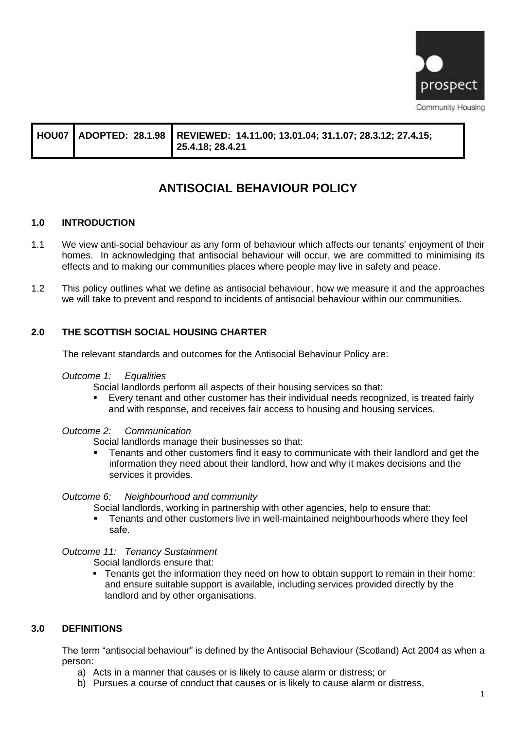

|  |  | HOU07   ADOPTED: 28.1.98   REVIEWED: 14.11.00; 13.01.04; 31.1.07; 28.3.12; 27.4.15;<br>  25.4.18; 28.4.21 |
|--|--|-----------------------------------------------------------------------------------------------------------|
|--|--|-----------------------------------------------------------------------------------------------------------|

# **ANTISOCIAL BEHAVIOUR POLICY**

# **1.0 INTRODUCTION**

- 1.1 We view anti-social behaviour as any form of behaviour which affects our tenants' enjoyment of their homes. In acknowledging that antisocial behaviour will occur, we are committed to minimising its effects and to making our communities places where people may live in safety and peace.
- 1.2 This policy outlines what we define as antisocial behaviour, how we measure it and the approaches we will take to prevent and respond to incidents of antisocial behaviour within our communities.

# **2.0 THE SCOTTISH SOCIAL HOUSING CHARTER**

The relevant standards and outcomes for the Antisocial Behaviour Policy are:

#### *Outcome 1: Equalities*

Social landlords perform all aspects of their housing services so that:

■ Every tenant and other customer has their individual needs recognized, is treated fairly and with response, and receives fair access to housing and housing services.

#### *Outcome 2: Communication*

Social landlords manage their businesses so that:

Tenants and other customers find it easy to communicate with their landlord and get the information they need about their landlord, how and why it makes decisions and the services it provides.

#### *Outcome 6: Neighbourhood and community*

Social landlords, working in partnership with other agencies, help to ensure that:

■ Tenants and other customers live in well-maintained neighbourhoods where they feel safe.

#### *Outcome 11: Tenancy Sustainment*

Social landlords ensure that:

**•** Tenants get the information they need on how to obtain support to remain in their home: and ensure suitable support is available, including services provided directly by the landlord and by other organisations.

#### **3.0 DEFINITIONS**

The term "antisocial behaviour" is defined by the Antisocial Behaviour (Scotland) Act 2004 as when a person:

- a) Acts in a manner that causes or is likely to cause alarm or distress; or
- b) Pursues a course of conduct that causes or is likely to cause alarm or distress,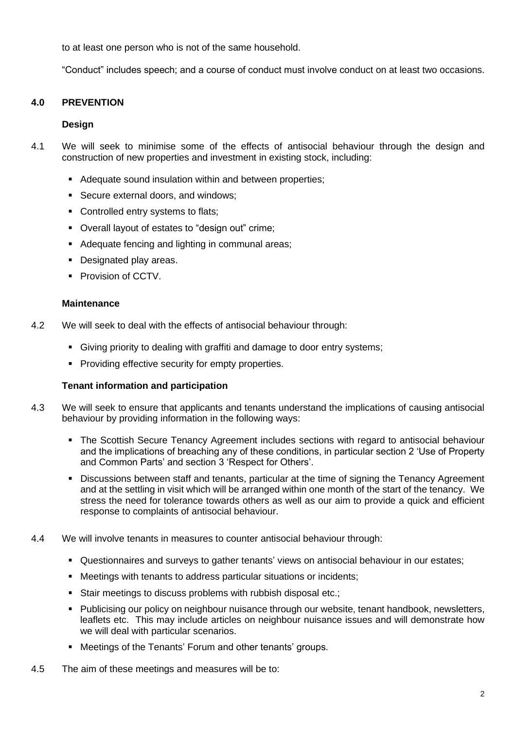to at least one person who is not of the same household.

"Conduct" includes speech; and a course of conduct must involve conduct on at least two occasions.

# **4.0 PREVENTION**

#### **Design**

- 4.1 We will seek to minimise some of the effects of antisocial behaviour through the design and construction of new properties and investment in existing stock, including:
	- Adequate sound insulation within and between properties;
	- Secure external doors, and windows;
	- Controlled entry systems to flats;
	- Overall layout of estates to "design out" crime;
	- Adequate fencing and lighting in communal areas;
	- Designated play areas.
	- **Provision of CCTV.**

#### **Maintenance**

- 4.2 We will seek to deal with the effects of antisocial behaviour through:
	- **Giving priority to dealing with graffiti and damage to door entry systems;**
	- Providing effective security for empty properties.

#### **Tenant information and participation**

- 4.3 We will seek to ensure that applicants and tenants understand the implications of causing antisocial behaviour by providing information in the following ways:
	- **The Scottish Secure Tenancy Agreement includes sections with regard to antisocial behaviour** and the implications of breaching any of these conditions, in particular section 2 'Use of Property and Common Parts' and section 3 'Respect for Others'.
	- **Discussions between staff and tenants, particular at the time of signing the Tenancy Agreement** and at the settling in visit which will be arranged within one month of the start of the tenancy. We stress the need for tolerance towards others as well as our aim to provide a quick and efficient response to complaints of antisocial behaviour.
- 4.4 We will involve tenants in measures to counter antisocial behaviour through:
	- **•** Questionnaires and surveys to gather tenants' views on antisocial behaviour in our estates;
	- Meetings with tenants to address particular situations or incidents:
	- Stair meetings to discuss problems with rubbish disposal etc.;
	- Publicising our policy on neighbour nuisance through our website, tenant handbook, newsletters, leaflets etc. This may include articles on neighbour nuisance issues and will demonstrate how we will deal with particular scenarios.
	- Meetings of the Tenants' Forum and other tenants' groups.
- 4.5 The aim of these meetings and measures will be to: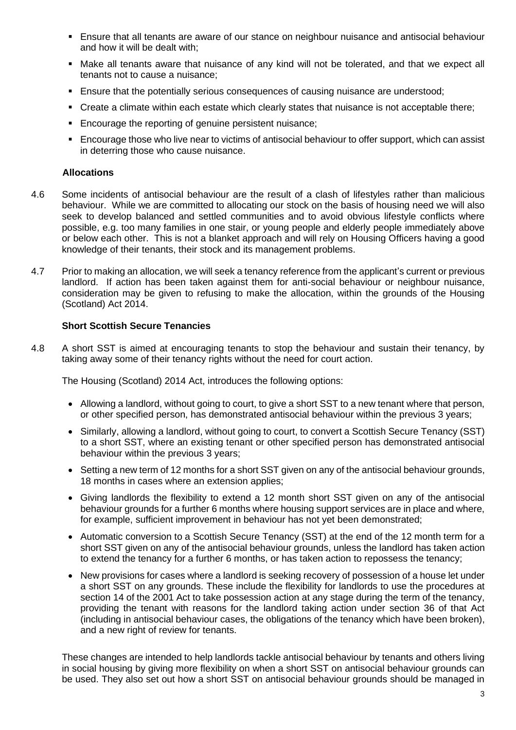- **E** Ensure that all tenants are aware of our stance on neighbour nuisance and antisocial behaviour and how it will be dealt with;
- **•** Make all tenants aware that nuisance of any kind will not be tolerated, and that we expect all tenants not to cause a nuisance;
- Ensure that the potentially serious consequences of causing nuisance are understood;
- Create a climate within each estate which clearly states that nuisance is not acceptable there;
- Encourage the reporting of genuine persistent nuisance;
- Encourage those who live near to victims of antisocial behaviour to offer support, which can assist in deterring those who cause nuisance.

# **Allocations**

- 4.6 Some incidents of antisocial behaviour are the result of a clash of lifestyles rather than malicious behaviour. While we are committed to allocating our stock on the basis of housing need we will also seek to develop balanced and settled communities and to avoid obvious lifestyle conflicts where possible, e.g. too many families in one stair, or young people and elderly people immediately above or below each other. This is not a blanket approach and will rely on Housing Officers having a good knowledge of their tenants, their stock and its management problems.
- 4.7 Prior to making an allocation, we will seek a tenancy reference from the applicant's current or previous landlord. If action has been taken against them for anti-social behaviour or neighbour nuisance, consideration may be given to refusing to make the allocation, within the grounds of the Housing (Scotland) Act 2014.

# **Short Scottish Secure Tenancies**

4.8 A short SST is aimed at encouraging tenants to stop the behaviour and sustain their tenancy, by taking away some of their tenancy rights without the need for court action.

The Housing (Scotland) 2014 Act, introduces the following options:

- Allowing a landlord, without going to court, to give a short SST to a new tenant where that person, or other specified person, has demonstrated antisocial behaviour within the previous 3 years;
- Similarly, allowing a landlord, without going to court, to convert a Scottish Secure Tenancy (SST) to a short SST, where an existing tenant or other specified person has demonstrated antisocial behaviour within the previous 3 years;
- Setting a new term of 12 months for a short SST given on any of the antisocial behaviour grounds, 18 months in cases where an extension applies;
- Giving landlords the flexibility to extend a 12 month short SST given on any of the antisocial behaviour grounds for a further 6 months where housing support services are in place and where, for example, sufficient improvement in behaviour has not yet been demonstrated;
- Automatic conversion to a Scottish Secure Tenancy (SST) at the end of the 12 month term for a short SST given on any of the antisocial behaviour grounds, unless the landlord has taken action to extend the tenancy for a further 6 months, or has taken action to repossess the tenancy;
- New provisions for cases where a landlord is seeking recovery of possession of a house let under a short SST on any grounds. These include the flexibility for landlords to use the procedures at section 14 of the 2001 Act to take possession action at any stage during the term of the tenancy, providing the tenant with reasons for the landlord taking action under section 36 of that Act (including in antisocial behaviour cases, the obligations of the tenancy which have been broken), and a new right of review for tenants.

These changes are intended to help landlords tackle antisocial behaviour by tenants and others living in social housing by giving more flexibility on when a short SST on antisocial behaviour grounds can be used. They also set out how a short SST on antisocial behaviour grounds should be managed in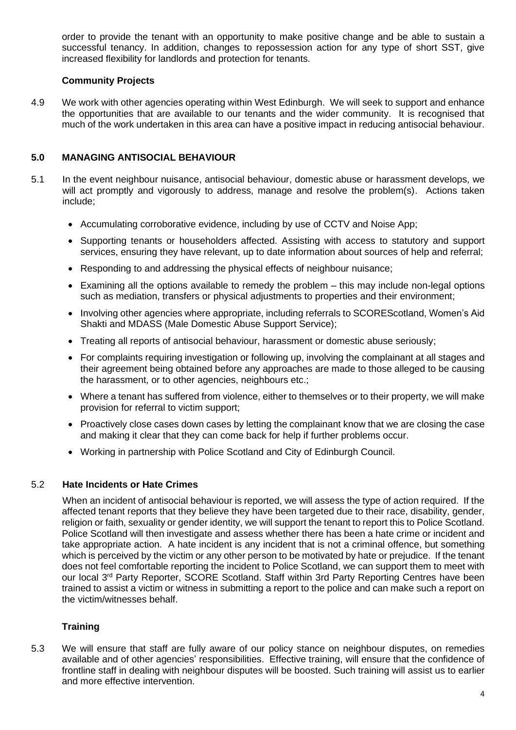order to provide the tenant with an opportunity to make positive change and be able to sustain a successful tenancy. In addition, changes to repossession action for any type of short SST, give increased flexibility for landlords and protection for tenants.

# **Community Projects**

4.9 We work with other agencies operating within West Edinburgh. We will seek to support and enhance the opportunities that are available to our tenants and the wider community. It is recognised that much of the work undertaken in this area can have a positive impact in reducing antisocial behaviour.

# **5.0 MANAGING ANTISOCIAL BEHAVIOUR**

- 5.1 In the event neighbour nuisance, antisocial behaviour, domestic abuse or harassment develops, we will act promptly and vigorously to address, manage and resolve the problem(s). Actions taken include;
	- Accumulating corroborative evidence, including by use of CCTV and Noise App;
	- Supporting tenants or householders affected. Assisting with access to statutory and support services, ensuring they have relevant, up to date information about sources of help and referral;
	- Responding to and addressing the physical effects of neighbour nuisance;
	- Examining all the options available to remedy the problem this may include non-legal options such as mediation, transfers or physical adjustments to properties and their environment;
	- Involving other agencies where appropriate, including referrals to SCOREScotland, Women's Aid Shakti and MDASS (Male Domestic Abuse Support Service);
	- Treating all reports of antisocial behaviour, harassment or domestic abuse seriously;
	- For complaints requiring investigation or following up, involving the complainant at all stages and their agreement being obtained before any approaches are made to those alleged to be causing the harassment, or to other agencies, neighbours etc.;
	- Where a tenant has suffered from violence, either to themselves or to their property, we will make provision for referral to victim support;
	- Proactively close cases down cases by letting the complainant know that we are closing the case and making it clear that they can come back for help if further problems occur.
	- Working in partnership with Police Scotland and City of Edinburgh Council.

#### 5.2 **Hate Incidents or Hate Crimes**

When an incident of antisocial behaviour is reported, we will assess the type of action required. If the affected tenant reports that they believe they have been targeted due to their race, disability, gender, religion or faith, sexuality or gender identity, we will support the tenant to report this to Police Scotland. Police Scotland will then investigate and assess whether there has been a hate crime or incident and take appropriate action. A hate incident is any incident that is not a criminal offence, but something which is perceived by the victim or any other person to be motivated by hate or prejudice. If the tenant does not feel comfortable reporting the incident to Police Scotland, we can support them to meet with our local 3rd Party Reporter, SCORE Scotland. Staff within 3rd Party Reporting Centres have been trained to assist a victim or witness in submitting a report to the police and can make such a report on the victim/witnesses behalf.

# **Training**

5.3 We will ensure that staff are fully aware of our policy stance on neighbour disputes, on remedies available and of other agencies' responsibilities. Effective training, will ensure that the confidence of frontline staff in dealing with neighbour disputes will be boosted. Such training will assist us to earlier and more effective intervention.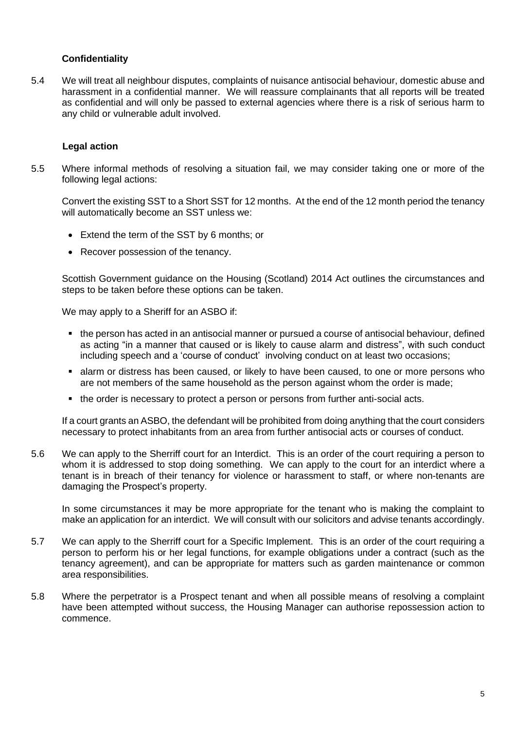# **Confidentiality**

5.4 We will treat all neighbour disputes, complaints of nuisance antisocial behaviour, domestic abuse and harassment in a confidential manner. We will reassure complainants that all reports will be treated as confidential and will only be passed to external agencies where there is a risk of serious harm to any child or vulnerable adult involved.

#### **Legal action**

5.5 Where informal methods of resolving a situation fail, we may consider taking one or more of the following legal actions:

Convert the existing SST to a Short SST for 12 months. At the end of the 12 month period the tenancy will automatically become an SST unless we:

- Extend the term of the SST by 6 months; or
- Recover possession of the tenancy.

Scottish Government guidance on the Housing (Scotland) 2014 Act outlines the circumstances and steps to be taken before these options can be taken.

We may apply to a Sheriff for an ASBO if:

- the person has acted in an antisocial manner or pursued a course of antisocial behaviour, defined as acting "in a manner that caused or is likely to cause alarm and distress", with such conduct including speech and a 'course of conduct' involving conduct on at least two occasions;
- **Example 1** alarm or distress has been caused, or likely to have been caused, to one or more persons who are not members of the same household as the person against whom the order is made;
- the order is necessary to protect a person or persons from further anti-social acts.

If a court grants an ASBO, the defendant will be prohibited from doing anything that the court considers necessary to protect inhabitants from an area from further antisocial acts or courses of conduct.

5.6 We can apply to the Sherriff court for an Interdict. This is an order of the court requiring a person to whom it is addressed to stop doing something. We can apply to the court for an interdict where a tenant is in breach of their tenancy for violence or harassment to staff, or where non-tenants are damaging the Prospect's property.

In some circumstances it may be more appropriate for the tenant who is making the complaint to make an application for an interdict. We will consult with our solicitors and advise tenants accordingly.

- 5.7 We can apply to the Sherriff court for a Specific Implement. This is an order of the court requiring a person to perform his or her legal functions, for example obligations under a contract (such as the tenancy agreement), and can be appropriate for matters such as garden maintenance or common area responsibilities.
- 5.8 Where the perpetrator is a Prospect tenant and when all possible means of resolving a complaint have been attempted without success, the Housing Manager can authorise repossession action to commence.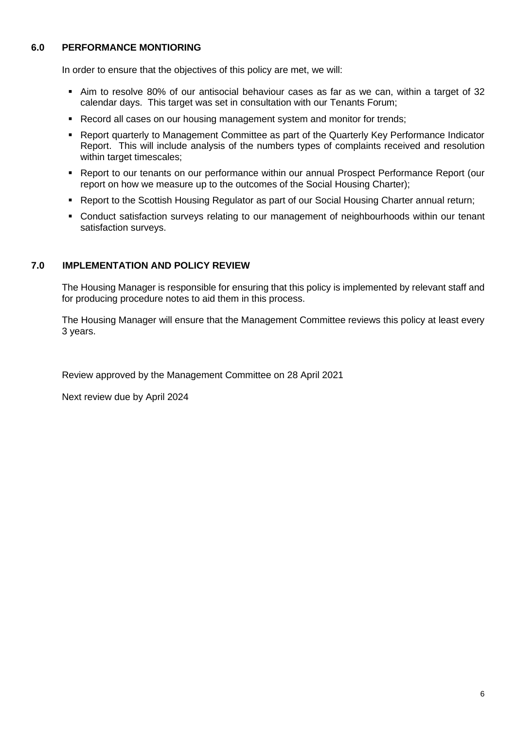# **6.0 PERFORMANCE MONTIORING**

In order to ensure that the objectives of this policy are met, we will:

- Aim to resolve 80% of our antisocial behaviour cases as far as we can, within a target of 32 calendar days. This target was set in consultation with our Tenants Forum;
- **Record all cases on our housing management system and monitor for trends;**
- Report quarterly to Management Committee as part of the Quarterly Key Performance Indicator Report. This will include analysis of the numbers types of complaints received and resolution within target timescales;
- Report to our tenants on our performance within our annual Prospect Performance Report (our report on how we measure up to the outcomes of the Social Housing Charter);
- Report to the Scottish Housing Regulator as part of our Social Housing Charter annual return;
- Conduct satisfaction surveys relating to our management of neighbourhoods within our tenant satisfaction surveys.

#### **7.0 IMPLEMENTATION AND POLICY REVIEW**

The Housing Manager is responsible for ensuring that this policy is implemented by relevant staff and for producing procedure notes to aid them in this process.

The Housing Manager will ensure that the Management Committee reviews this policy at least every 3 years.

Review approved by the Management Committee on 28 April 2021

Next review due by April 2024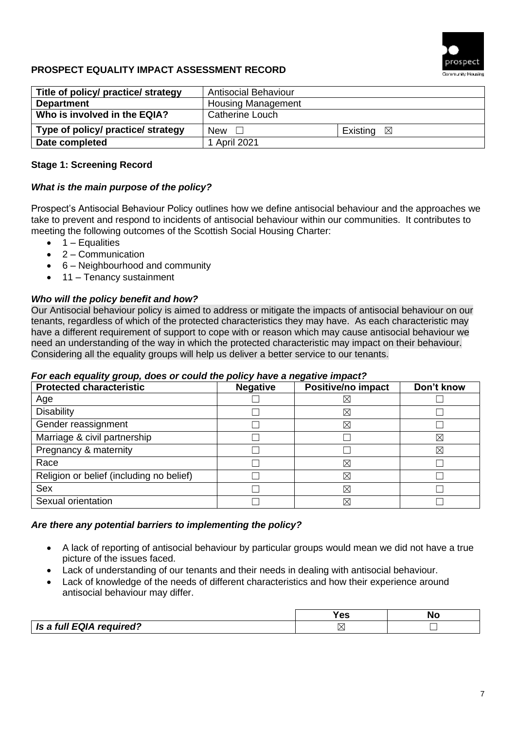

# **PROSPECT EQUALITY IMPACT ASSESSMENT RECORD**

| Title of policy/ practice/ strategy | <b>Antisocial Behaviour</b> |                      |
|-------------------------------------|-----------------------------|----------------------|
| <b>Department</b>                   | <b>Housing Management</b>   |                      |
| Who is involved in the EQIA?        | <b>Catherine Louch</b>      |                      |
| Type of policy/ practice/ strategy  | New $\Box$                  | Existing $\boxtimes$ |
| Date completed                      | 1 April 2021                |                      |

# **Stage 1: Screening Record**

# *What is the main purpose of the policy?*

Prospect's Antisocial Behaviour Policy outlines how we define antisocial behaviour and the approaches we take to prevent and respond to incidents of antisocial behaviour within our communities. It contributes to meeting the following outcomes of the Scottish Social Housing Charter:

- $\bullet$  1 Equalities
- $\bullet$  2 Communication
- 6 Neighbourhood and community
- 11 Tenancy sustainment

# *Who will the policy benefit and how?*

Our Antisocial behaviour policy is aimed to address or mitigate the impacts of antisocial behaviour on our tenants, regardless of which of the protected characteristics they may have. As each characteristic may have a different requirement of support to cope with or reason which may cause antisocial behaviour we need an understanding of the way in which the protected characteristic may impact on their behaviour. Considering all the equality groups will help us deliver a better service to our tenants.

#### *For each equality group, does or could the policy have a negative impact?*

| <b>Protected characteristic</b>          | <b>Negative</b> | <b>Positive/no impact</b> | Don't know |
|------------------------------------------|-----------------|---------------------------|------------|
| Age                                      |                 | $\boxtimes$               |            |
| <b>Disability</b>                        |                 | ⊠                         |            |
| Gender reassignment                      |                 | ⊠                         |            |
| Marriage & civil partnership             |                 |                           | ⊠          |
| Pregnancy & maternity                    |                 |                           | ⊠          |
| Race                                     |                 | ⊠                         |            |
| Religion or belief (including no belief) |                 | $\boxtimes$               |            |
| <b>Sex</b>                               |                 | ⊠                         |            |
| Sexual orientation                       |                 | $\boxtimes$               |            |

#### *Are there any potential barriers to implementing the policy?*

- A lack of reporting of antisocial behaviour by particular groups would mean we did not have a true picture of the issues faced.
- Lack of understanding of our tenants and their needs in dealing with antisocial behaviour.
- Lack of knowledge of the needs of different characteristics and how their experience around antisocial behaviour may differ.

|                          | --        | N |
|--------------------------|-----------|---|
| Is a full EQIA required? | $\lambda$ |   |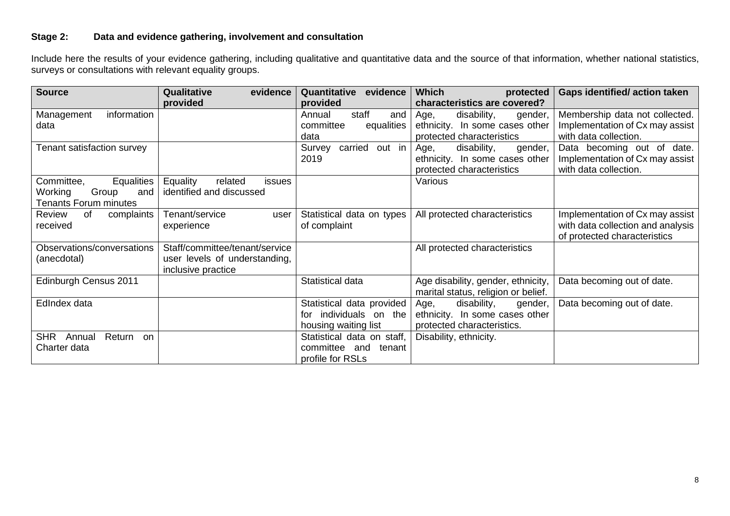# **Stage 2: Data and evidence gathering, involvement and consultation**

Include here the results of your evidence gathering, including qualitative and quantitative data and the source of that information, whether national statistics, surveys or consultations with relevant equality groups.

| <b>Source</b>                                                                       | Qualitative<br>evidence                                                               | Quantitative<br>evidence                                                    | <b>Which</b><br>protected                                                                                                     | <b>Gaps identified/action taken</b>                                                                  |
|-------------------------------------------------------------------------------------|---------------------------------------------------------------------------------------|-----------------------------------------------------------------------------|-------------------------------------------------------------------------------------------------------------------------------|------------------------------------------------------------------------------------------------------|
| information<br>Management<br>data                                                   | provided                                                                              | provided<br>staff<br>Annual<br>and<br>committee<br>equalities<br>data       | characteristics are covered?<br>Age,<br>disability,<br>gender,<br>ethnicity. In some cases other<br>protected characteristics | Membership data not collected.<br>Implementation of Cx may assist<br>with data collection.           |
| Tenant satisfaction survey                                                          |                                                                                       | carried out in<br>Survey<br>2019                                            | Age,<br>disability,<br>gender,<br>ethnicity. In some cases other<br>protected characteristics                                 | Data becoming out of date.<br>Implementation of Cx may assist<br>with data collection.               |
| Equalities<br>Committee,<br>Working<br>Group<br>and<br><b>Tenants Forum minutes</b> | Equality<br>related<br><i>issues</i><br>identified and discussed                      |                                                                             | Various                                                                                                                       |                                                                                                      |
| Review<br>of<br>complaints<br>received                                              | Tenant/service<br>user<br>experience                                                  | Statistical data on types<br>of complaint                                   | All protected characteristics                                                                                                 | Implementation of Cx may assist<br>with data collection and analysis<br>of protected characteristics |
| Observations/conversations<br>(anecdotal)                                           | Staff/committee/tenant/service<br>user levels of understanding,<br>inclusive practice |                                                                             | All protected characteristics                                                                                                 |                                                                                                      |
| Edinburgh Census 2011                                                               |                                                                                       | Statistical data                                                            | Age disability, gender, ethnicity,<br>marital status, religion or belief.                                                     | Data becoming out of date.                                                                           |
| EdIndex data                                                                        |                                                                                       | Statistical data provided<br>for individuals on the<br>housing waiting list | disability,<br>Age,<br>gender,<br>ethnicity. In some cases other<br>protected characteristics.                                | Data becoming out of date.                                                                           |
| <b>SHR</b><br>Return<br>Annual<br>on<br>Charter data                                |                                                                                       | Statistical data on staff,<br>committee and<br>tenant<br>profile for RSLs   | Disability, ethnicity.                                                                                                        |                                                                                                      |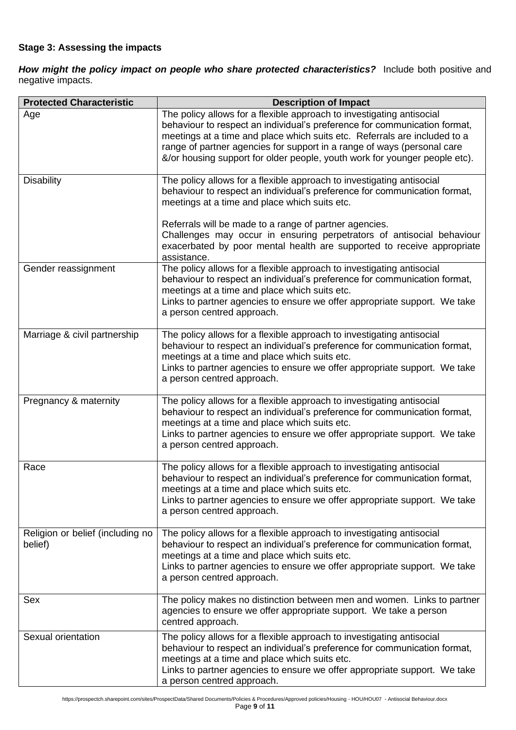# **Stage 3: Assessing the impacts**

*How might the policy impact on people who share protected characteristics?* Include both positive and negative impacts.

| <b>Protected Characteristic</b>             | <b>Description of Impact</b>                                                                                                                                                                                                                                                                                                                                                             |
|---------------------------------------------|------------------------------------------------------------------------------------------------------------------------------------------------------------------------------------------------------------------------------------------------------------------------------------------------------------------------------------------------------------------------------------------|
| Age                                         | The policy allows for a flexible approach to investigating antisocial<br>behaviour to respect an individual's preference for communication format,<br>meetings at a time and place which suits etc. Referrals are included to a<br>range of partner agencies for support in a range of ways (personal care<br>&/or housing support for older people, youth work for younger people etc). |
| <b>Disability</b>                           | The policy allows for a flexible approach to investigating antisocial<br>behaviour to respect an individual's preference for communication format,<br>meetings at a time and place which suits etc.<br>Referrals will be made to a range of partner agencies.<br>Challenges may occur in ensuring perpetrators of antisocial behaviour                                                   |
|                                             | exacerbated by poor mental health are supported to receive appropriate<br>assistance.                                                                                                                                                                                                                                                                                                    |
| Gender reassignment                         | The policy allows for a flexible approach to investigating antisocial<br>behaviour to respect an individual's preference for communication format,<br>meetings at a time and place which suits etc.<br>Links to partner agencies to ensure we offer appropriate support. We take<br>a person centred approach.                                                                           |
| Marriage & civil partnership                | The policy allows for a flexible approach to investigating antisocial<br>behaviour to respect an individual's preference for communication format,<br>meetings at a time and place which suits etc.<br>Links to partner agencies to ensure we offer appropriate support. We take<br>a person centred approach.                                                                           |
| Pregnancy & maternity                       | The policy allows for a flexible approach to investigating antisocial<br>behaviour to respect an individual's preference for communication format,<br>meetings at a time and place which suits etc.<br>Links to partner agencies to ensure we offer appropriate support. We take<br>a person centred approach.                                                                           |
| Race                                        | The policy allows for a flexible approach to investigating antisocial<br>behaviour to respect an individual's preference for communication format,<br>meetings at a time and place which suits etc.<br>Links to partner agencies to ensure we offer appropriate support. We take<br>a person centred approach.                                                                           |
| Religion or belief (including no<br>belief) | The policy allows for a flexible approach to investigating antisocial<br>behaviour to respect an individual's preference for communication format,<br>meetings at a time and place which suits etc.<br>Links to partner agencies to ensure we offer appropriate support. We take<br>a person centred approach.                                                                           |
| Sex                                         | The policy makes no distinction between men and women. Links to partner<br>agencies to ensure we offer appropriate support. We take a person<br>centred approach.                                                                                                                                                                                                                        |
| Sexual orientation                          | The policy allows for a flexible approach to investigating antisocial<br>behaviour to respect an individual's preference for communication format,<br>meetings at a time and place which suits etc.<br>Links to partner agencies to ensure we offer appropriate support. We take<br>a person centred approach.                                                                           |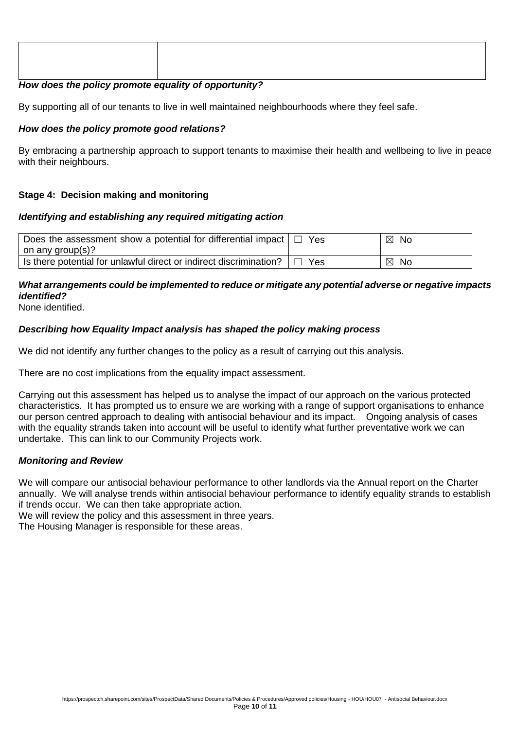#### *How does the policy promote equality of opportunity?*

By supporting all of our tenants to live in well maintained neighbourhoods where they feel safe.

#### *How does the policy promote good relations?*

By embracing a partnership approach to support tenants to maximise their health and wellbeing to live in peace with their neighbours.

# **Stage 4: Decision making and monitoring**

#### *Identifying and establishing any required mitigating action*

| Does the assessment show a potential for differential impact<br>on any group(s)? | Yes | $\boxtimes$<br>No        |
|----------------------------------------------------------------------------------|-----|--------------------------|
| Is there potential for unlawful direct or indirect discrimination?               | Yes | $\boxtimes$<br><b>No</b> |

# *What arrangements could be implemented to reduce or mitigate any potential adverse or negative impacts identified?*

None identified.

#### *Describing how Equality Impact analysis has shaped the policy making process*

We did not identify any further changes to the policy as a result of carrying out this analysis.

There are no cost implications from the equality impact assessment.

Carrying out this assessment has helped us to analyse the impact of our approach on the various protected characteristics. It has prompted us to ensure we are working with a range of support organisations to enhance our person centred approach to dealing with antisocial behaviour and its impact. Ongoing analysis of cases with the equality strands taken into account will be useful to identify what further preventative work we can undertake. This can link to our Community Projects work.

#### *Monitoring and Review*

We will compare our antisocial behaviour performance to other landlords via the Annual report on the Charter annually. We will analyse trends within antisocial behaviour performance to identify equality strands to establish if trends occur. We can then take appropriate action.

We will review the policy and this assessment in three years.

The Housing Manager is responsible for these areas.